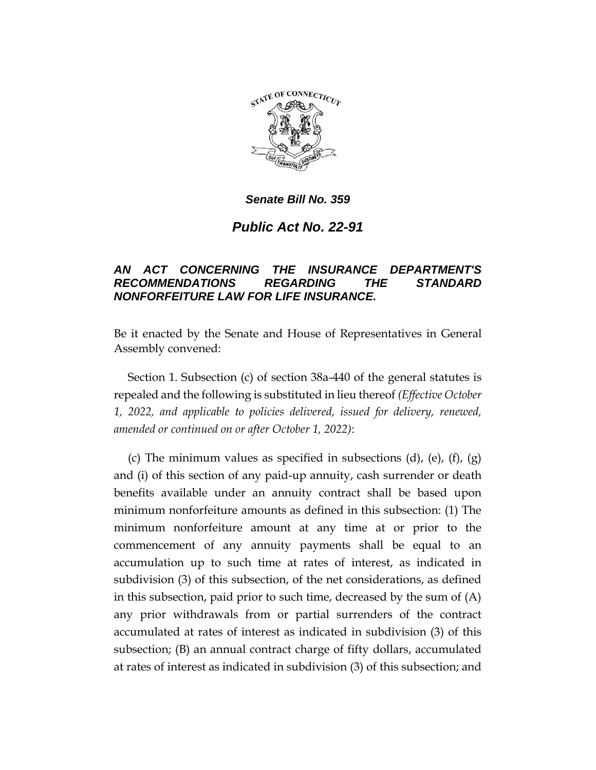

*Senate Bill No. 359*

*Public Act No. 22-91*

## *AN ACT CONCERNING THE INSURANCE DEPARTMENT'S RECOMMENDATIONS REGARDING THE STANDARD NONFORFEITURE LAW FOR LIFE INSURANCE.*

Be it enacted by the Senate and House of Representatives in General Assembly convened:

Section 1. Subsection (c) of section 38a-440 of the general statutes is repealed and the following is substituted in lieu thereof *(Effective October 1, 2022, and applicable to policies delivered, issued for delivery, renewed, amended or continued on or after October 1, 2022)*:

(c) The minimum values as specified in subsections (d), (e), (f), (g) and (i) of this section of any paid-up annuity, cash surrender or death benefits available under an annuity contract shall be based upon minimum nonforfeiture amounts as defined in this subsection: (1) The minimum nonforfeiture amount at any time at or prior to the commencement of any annuity payments shall be equal to an accumulation up to such time at rates of interest, as indicated in subdivision (3) of this subsection, of the net considerations, as defined in this subsection, paid prior to such time, decreased by the sum of (A) any prior withdrawals from or partial surrenders of the contract accumulated at rates of interest as indicated in subdivision (3) of this subsection; (B) an annual contract charge of fifty dollars, accumulated at rates of interest as indicated in subdivision (3) of this subsection; and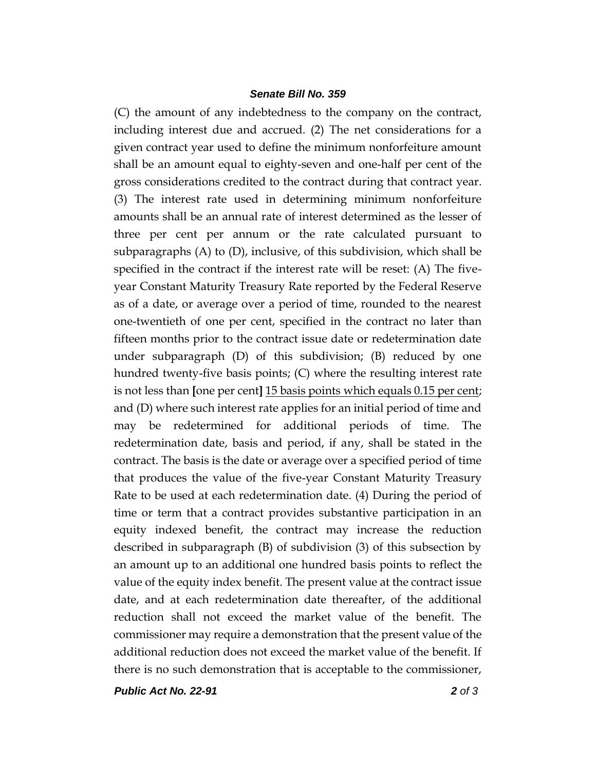## *Senate Bill No. 359*

(C) the amount of any indebtedness to the company on the contract, including interest due and accrued. (2) The net considerations for a given contract year used to define the minimum nonforfeiture amount shall be an amount equal to eighty-seven and one-half per cent of the gross considerations credited to the contract during that contract year. (3) The interest rate used in determining minimum nonforfeiture amounts shall be an annual rate of interest determined as the lesser of three per cent per annum or the rate calculated pursuant to subparagraphs (A) to (D), inclusive, of this subdivision, which shall be specified in the contract if the interest rate will be reset: (A) The fiveyear Constant Maturity Treasury Rate reported by the Federal Reserve as of a date, or average over a period of time, rounded to the nearest one-twentieth of one per cent, specified in the contract no later than fifteen months prior to the contract issue date or redetermination date under subparagraph (D) of this subdivision; (B) reduced by one hundred twenty-five basis points; (C) where the resulting interest rate is not less than **[**one per cent**]** 15 basis points which equals 0.15 per cent; and (D) where such interest rate applies for an initial period of time and may be redetermined for additional periods of time. The redetermination date, basis and period, if any, shall be stated in the contract. The basis is the date or average over a specified period of time that produces the value of the five-year Constant Maturity Treasury Rate to be used at each redetermination date. (4) During the period of time or term that a contract provides substantive participation in an equity indexed benefit, the contract may increase the reduction described in subparagraph (B) of subdivision (3) of this subsection by an amount up to an additional one hundred basis points to reflect the value of the equity index benefit. The present value at the contract issue date, and at each redetermination date thereafter, of the additional reduction shall not exceed the market value of the benefit. The commissioner may require a demonstration that the present value of the additional reduction does not exceed the market value of the benefit. If there is no such demonstration that is acceptable to the commissioner,

*Public Act No. 22-91 2 of 3*